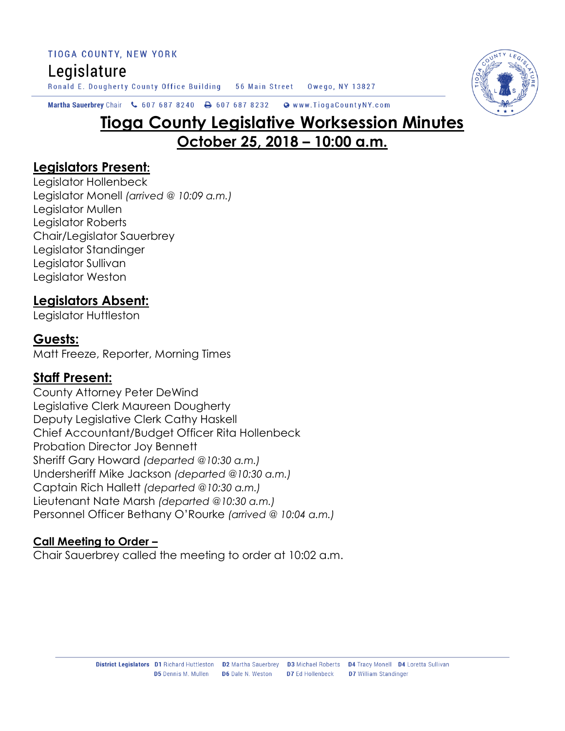TIOGA COUNTY, NEW YORK

## Legislature

Ronald E. Dougherty County Office Building 56 Main Street Owego, NY 13827

Martha Sauerbrey Chair & 607 687 8240 & 607 687 8232 Www.TiogaCountyNY.com

# **Tioga County Legislative Worksession Minutes October 25, 2018 – 10:00 a.m.**

## **Legislators Present:**

Legislator Hollenbeck Legislator Monell *(arrived @ 10:09 a.m.)* Legislator Mullen Legislator Roberts Chair/Legislator Sauerbrey Legislator Standinger Legislator Sullivan Legislator Weston

## **Legislators Absent:**

Legislator Huttleston

#### **Guests:**

Matt Freeze, Reporter, Morning Times

## **Staff Present:**

County Attorney Peter DeWind Legislative Clerk Maureen Dougherty Deputy Legislative Clerk Cathy Haskell Chief Accountant/Budget Officer Rita Hollenbeck Probation Director Joy Bennett Sheriff Gary Howard *(departed @10:30 a.m.)* Undersheriff Mike Jackson *(departed @10:30 a.m.)* Captain Rich Hallett *(departed @10:30 a.m.)* Lieutenant Nate Marsh *(departed @10:30 a.m.)* Personnel Officer Bethany O'Rourke *(arrived @ 10:04 a.m.)*

#### **Call Meeting to Order –**

Chair Sauerbrey called the meeting to order at 10:02 a.m.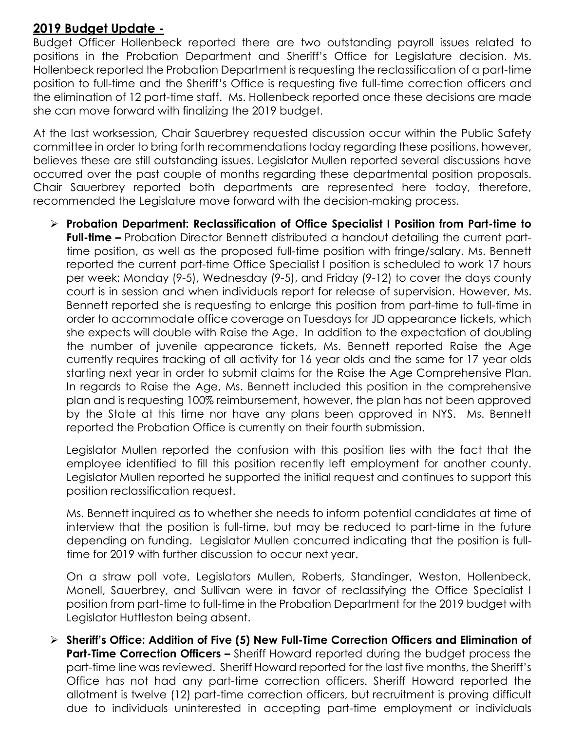#### **2019 Budget Update -**

Budget Officer Hollenbeck reported there are two outstanding payroll issues related to positions in the Probation Department and Sheriff's Office for Legislature decision. Ms. Hollenbeck reported the Probation Department is requesting the reclassification of a part-time position to full-time and the Sheriff's Office is requesting five full-time correction officers and the elimination of 12 part-time staff. Ms. Hollenbeck reported once these decisions are made she can move forward with finalizing the 2019 budget.

At the last worksession, Chair Sauerbrey requested discussion occur within the Public Safety committee in order to bring forth recommendations today regarding these positions, however, believes these are still outstanding issues. Legislator Mullen reported several discussions have occurred over the past couple of months regarding these departmental position proposals. Chair Sauerbrey reported both departments are represented here today, therefore, recommended the Legislature move forward with the decision-making process.

 **Probation Department: Reclassification of Office Specialist I Position from Part-time to Full-time –** Probation Director Bennett distributed a handout detailing the current parttime position, as well as the proposed full-time position with fringe/salary. Ms. Bennett reported the current part-time Office Specialist I position is scheduled to work 17 hours per week; Monday (9-5), Wednesday (9-5), and Friday (9-12) to cover the days county court is in session and when individuals report for release of supervision. However, Ms. Bennett reported she is requesting to enlarge this position from part-time to full-time in order to accommodate office coverage on Tuesdays for JD appearance tickets, which she expects will double with Raise the Age. In addition to the expectation of doubling the number of juvenile appearance tickets, Ms. Bennett reported Raise the Age currently requires tracking of all activity for 16 year olds and the same for 17 year olds starting next year in order to submit claims for the Raise the Age Comprehensive Plan. In regards to Raise the Age, Ms. Bennett included this position in the comprehensive plan and is requesting 100% reimbursement, however, the plan has not been approved by the State at this time nor have any plans been approved in NYS. Ms. Bennett reported the Probation Office is currently on their fourth submission.

Legislator Mullen reported the confusion with this position lies with the fact that the employee identified to fill this position recently left employment for another county. Legislator Mullen reported he supported the initial request and continues to support this position reclassification request.

Ms. Bennett inquired as to whether she needs to inform potential candidates at time of interview that the position is full-time, but may be reduced to part-time in the future depending on funding. Legislator Mullen concurred indicating that the position is fulltime for 2019 with further discussion to occur next year.

On a straw poll vote, Legislators Mullen, Roberts, Standinger, Weston, Hollenbeck, Monell, Sauerbrey, and Sullivan were in favor of reclassifying the Office Specialist I position from part-time to full-time in the Probation Department for the 2019 budget with Legislator Huttleston being absent.

 **Sheriff's Office: Addition of Five (5) New Full-Time Correction Officers and Elimination of Part-Time Correction Officers –** Sheriff Howard reported during the budget process the part-time line was reviewed. Sheriff Howard reported for the last five months, the Sheriff's Office has not had any part-time correction officers. Sheriff Howard reported the allotment is twelve (12) part-time correction officers, but recruitment is proving difficult due to individuals uninterested in accepting part-time employment or individuals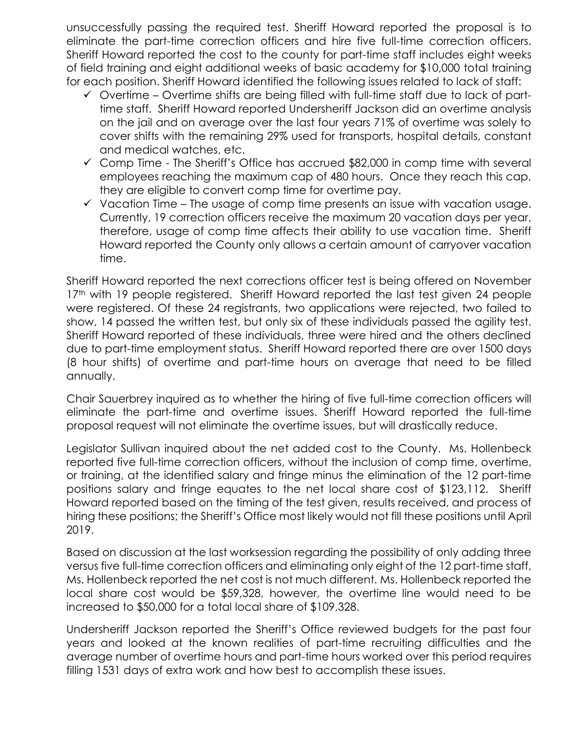unsuccessfully passing the required test. Sheriff Howard reported the proposal is to eliminate the part-time correction officers and hire five full-time correction officers. Sheriff Howard reported the cost to the county for part-time staff includes eight weeks of field training and eight additional weeks of basic academy for \$10,000 total training for each position. Sheriff Howard identified the following issues related to lack of staff:

- $\checkmark$  Overtime Overtime shifts are being filled with full-time staff due to lack of parttime staff. Sheriff Howard reported Undersheriff Jackson did an overtime analysis on the jail and on average over the last four years 71% of overtime was solely to cover shifts with the remaining 29% used for transports, hospital details, constant and medical watches, etc.
- $\checkmark$  Comp Time The Sheriff's Office has accrued \$82,000 in comp time with several employees reaching the maximum cap of 480 hours. Once they reach this cap, they are eligible to convert comp time for overtime pay.
- $\checkmark$  Vacation Time The usage of comp time presents an issue with vacation usage. Currently, 19 correction officers receive the maximum 20 vacation days per year, therefore, usage of comp time affects their ability to use vacation time. Sheriff Howard reported the County only allows a certain amount of carryover vacation time.

Sheriff Howard reported the next corrections officer test is being offered on November 17<sup>th</sup> with 19 people registered. Sheriff Howard reported the last test given 24 people were registered. Of these 24 registrants, two applications were rejected, two failed to show, 14 passed the written test, but only six of these individuals passed the agility test. Sheriff Howard reported of these individuals, three were hired and the others declined due to part-time employment status. Sheriff Howard reported there are over 1500 days (8 hour shifts) of overtime and part-time hours on average that need to be filled annually.

Chair Sauerbrey inquired as to whether the hiring of five full-time correction officers will eliminate the part-time and overtime issues. Sheriff Howard reported the full-time proposal request will not eliminate the overtime issues, but will drastically reduce.

Legislator Sullivan inquired about the net added cost to the County. Ms. Hollenbeck reported five full-time correction officers, without the inclusion of comp time, overtime, or training, at the identified salary and fringe minus the elimination of the 12 part-time positions salary and fringe equates to the net local share cost of \$123,112. Sheriff Howard reported based on the timing of the test given, results received, and process of hiring these positions; the Sheriff's Office most likely would not fill these positions until April 2019.

Based on discussion at the last worksession regarding the possibility of only adding three versus five full-time correction officers and eliminating only eight of the 12 part-time staff, Ms. Hollenbeck reported the net cost is not much different. Ms. Hollenbeck reported the local share cost would be \$59,328, however, the overtime line would need to be increased to \$50,000 for a total local share of \$109,328.

Undersheriff Jackson reported the Sheriff's Office reviewed budgets for the past four years and looked at the known realities of part-time recruiting difficulties and the average number of overtime hours and part-time hours worked over this period requires filling 1531 days of extra work and how best to accomplish these issues.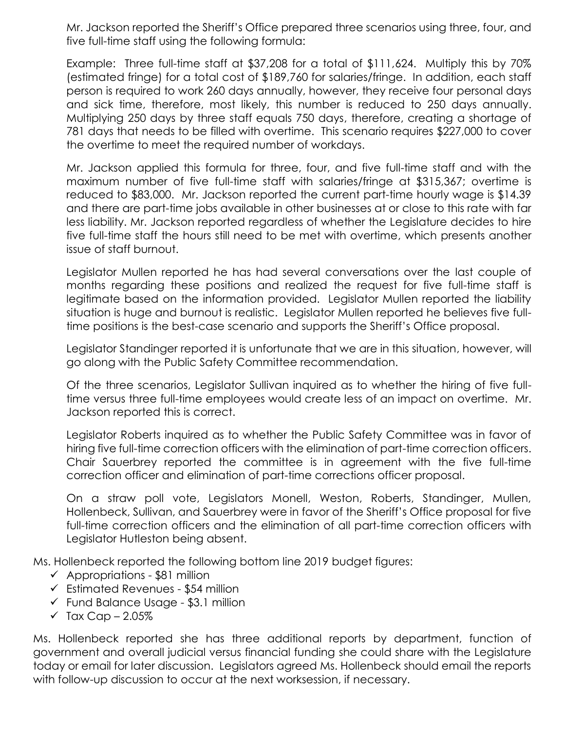Mr. Jackson reported the Sheriff's Office prepared three scenarios using three, four, and five full-time staff using the following formula:

Example: Three full-time staff at \$37,208 for a total of \$111,624. Multiply this by 70% (estimated fringe) for a total cost of \$189,760 for salaries/fringe. In addition, each staff person is required to work 260 days annually, however, they receive four personal days and sick time, therefore, most likely, this number is reduced to 250 days annually. Multiplying 250 days by three staff equals 750 days, therefore, creating a shortage of 781 days that needs to be filled with overtime. This scenario requires \$227,000 to cover the overtime to meet the required number of workdays.

Mr. Jackson applied this formula for three, four, and five full-time staff and with the maximum number of five full-time staff with salaries/fringe at \$315,367; overtime is reduced to \$83,000. Mr. Jackson reported the current part-time hourly wage is \$14.39 and there are part-time jobs available in other businesses at or close to this rate with far less liability. Mr. Jackson reported regardless of whether the Legislature decides to hire five full-time staff the hours still need to be met with overtime, which presents another issue of staff burnout.

Legislator Mullen reported he has had several conversations over the last couple of months regarding these positions and realized the request for five full-time staff is legitimate based on the information provided. Legislator Mullen reported the liability situation is huge and burnout is realistic. Legislator Mullen reported he believes five fulltime positions is the best-case scenario and supports the Sheriff's Office proposal.

Legislator Standinger reported it is unfortunate that we are in this situation, however, will go along with the Public Safety Committee recommendation.

Of the three scenarios, Legislator Sullivan inquired as to whether the hiring of five fulltime versus three full-time employees would create less of an impact on overtime. Mr. Jackson reported this is correct.

Legislator Roberts inquired as to whether the Public Safety Committee was in favor of hiring five full-time correction officers with the elimination of part-time correction officers. Chair Sauerbrey reported the committee is in agreement with the five full-time correction officer and elimination of part-time corrections officer proposal.

On a straw poll vote, Legislators Monell, Weston, Roberts, Standinger, Mullen, Hollenbeck, Sullivan, and Sauerbrey were in favor of the Sheriff's Office proposal for five full-time correction officers and the elimination of all part-time correction officers with Legislator Hutleston being absent.

Ms. Hollenbeck reported the following bottom line 2019 budget figures:

- $\checkmark$  Appropriations \$81 million
- $\checkmark$  Estimated Revenues \$54 million
- $\checkmark$  Fund Balance Usage \$3.1 million
- $\checkmark$  Tax Cap 2.05%

Ms. Hollenbeck reported she has three additional reports by department, function of government and overall judicial versus financial funding she could share with the Legislature today or email for later discussion. Legislators agreed Ms. Hollenbeck should email the reports with follow-up discussion to occur at the next worksession, if necessary.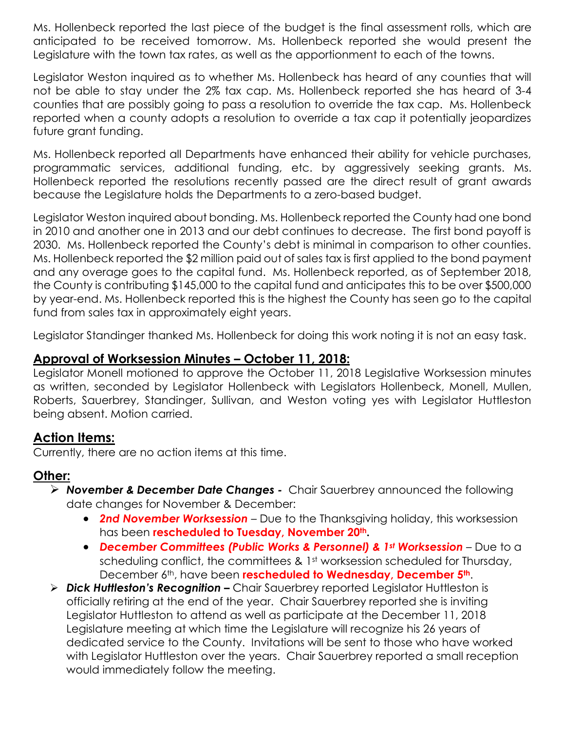Ms. Hollenbeck reported the last piece of the budget is the final assessment rolls, which are anticipated to be received tomorrow. Ms. Hollenbeck reported she would present the Legislature with the town tax rates, as well as the apportionment to each of the towns.

Legislator Weston inquired as to whether Ms. Hollenbeck has heard of any counties that will not be able to stay under the 2% tax cap. Ms. Hollenbeck reported she has heard of 3-4 counties that are possibly going to pass a resolution to override the tax cap. Ms. Hollenbeck reported when a county adopts a resolution to override a tax cap it potentially jeopardizes future grant funding.

Ms. Hollenbeck reported all Departments have enhanced their ability for vehicle purchases, programmatic services, additional funding, etc. by aggressively seeking grants. Ms. Hollenbeck reported the resolutions recently passed are the direct result of grant awards because the Legislature holds the Departments to a zero-based budget.

Legislator Weston inquired about bonding. Ms. Hollenbeck reported the County had one bond in 2010 and another one in 2013 and our debt continues to decrease. The first bond payoff is 2030. Ms. Hollenbeck reported the County's debt is minimal in comparison to other counties. Ms. Hollenbeck reported the \$2 million paid out of sales tax is first applied to the bond payment and any overage goes to the capital fund. Ms. Hollenbeck reported, as of September 2018, the County is contributing \$145,000 to the capital fund and anticipates this to be over \$500,000 by year-end. Ms. Hollenbeck reported this is the highest the County has seen go to the capital fund from sales tax in approximately eight years.

Legislator Standinger thanked Ms. Hollenbeck for doing this work noting it is not an easy task.

## **Approval of Worksession Minutes – October 11, 2018:**

Legislator Monell motioned to approve the October 11, 2018 Legislative Worksession minutes as written, seconded by Legislator Hollenbeck with Legislators Hollenbeck, Monell, Mullen, Roberts, Sauerbrey, Standinger, Sullivan, and Weston voting yes with Legislator Huttleston being absent. Motion carried.

## **Action Items:**

Currently, there are no action items at this time.

## **Other:**

- *November & December Date Changes* Chair Sauerbrey announced the following date changes for November & December:
	- **2nd November Worksession** Due to the Thanksgiving holiday, this worksession has been **rescheduled to Tuesday, November 20th.**
	- *December Committees (Public Works & Personnel) & 1st Worksession –* Due to a scheduling conflict, the committees & 1st worksession scheduled for Thursday, December 6th, have been **rescheduled to Wednesday, December 5th**.
- *Dick Huttleston's Recognition –* Chair Sauerbrey reported Legislator Huttleston is officially retiring at the end of the year. Chair Sauerbrey reported she is inviting Legislator Huttleston to attend as well as participate at the December 11, 2018 Legislature meeting at which time the Legislature will recognize his 26 years of dedicated service to the County. Invitations will be sent to those who have worked with Legislator Huttleston over the years. Chair Sauerbrey reported a small reception would immediately follow the meeting.